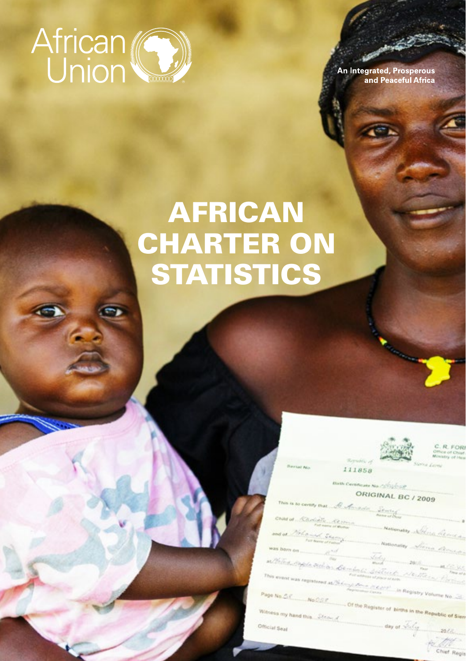

**An Integrated, Prosperous** and Peaceful Africa

# AFRICAN CHARTER ON **STATISTICS**

111858



R. FOR

**Birth Certificate No. CEO2010** 

#### ORIGINAL BC / 2009

 $rac{ORIGINAL$   $f$ <br>This is to comey that  $\mathcal{L}$  of the spain  $\frac{1}{1 + \frac{1}{2} + \frac{1}{2}}$ Child of Schoold's Rever

nationalisey School General and at Deb and Spain

**Nationality** 

lastni teoplet ta stali ta su distancia la antonico

This event was registered at  $\frac{N_{\rm eff}(\Delta t) \int_{\Delta t} \Delta t \, d\Delta t}{\Delta t}$  and the second second  $\Delta t$  . The contract of the second second second second second second second second second second second second second second second

1**1 AFRICAN CHARTER CHARTER CHARTER**<br>on Statistics of Statistics

Chief Red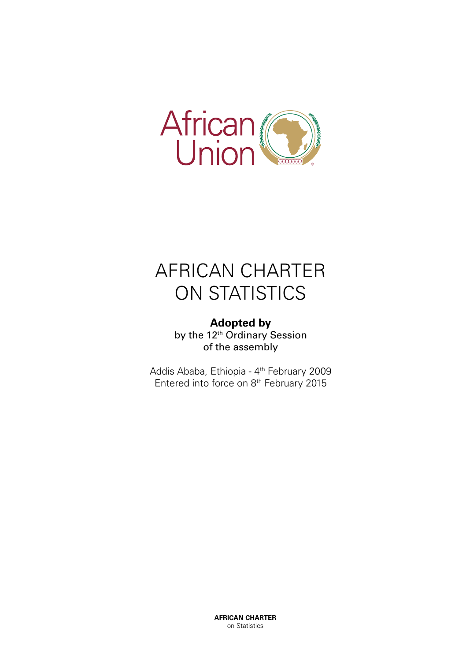

# AFRICAN CHARTER ON STATISTICS

**Adopted by** by the 12<sup>th</sup> Ordinary Session of the assembly

Addis Ababa, Ethiopia - 4th February 2009 Entered into force on 8th February 2015

> **AFRICAN CHARTER** on Statistics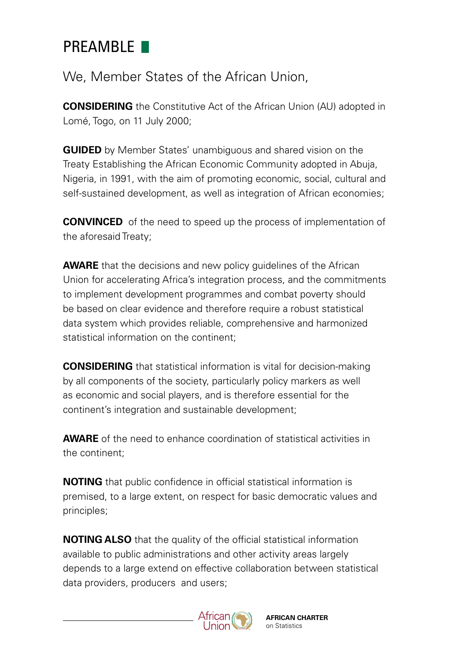# PRFAMBLE **N**

We, Member States of the African Union,

**CONSIDERING** the Constitutive Act of the African Union (AU) adopted in Lomé, Togo, on 11 July 2000;

**GUIDED** by Member States' unambiguous and shared vision on the Treaty Establishing the African Economic Community adopted in Abuja, Nigeria, in 1991, with the aim of promoting economic, social, cultural and self-sustained development, as well as integration of African economies;

**CONVINCED** of the need to speed up the process of implementation of the aforesaid Treaty;

**AWARE** that the decisions and new policy quidelines of the African Union for accelerating Africa's integration process, and the commitments to implement development programmes and combat poverty should be based on clear evidence and therefore require a robust statistical data system which provides reliable, comprehensive and harmonized statistical information on the continent;

**CONSIDERING** that statistical information is vital for decision-making by all components of the society, particularly policy markers as well as economic and social players, and is therefore essential for the continent's integration and sustainable development;

**AWARE** of the need to enhance coordination of statistical activities in the continent;

**NOTING** that public confidence in official statistical information is premised, to a large extent, on respect for basic democratic values and principles;

**NOTING ALSO** that the quality of the official statistical information available to public administrations and other activity areas largely depends to a large extend on effective collaboration between statistical data providers, producers and users;

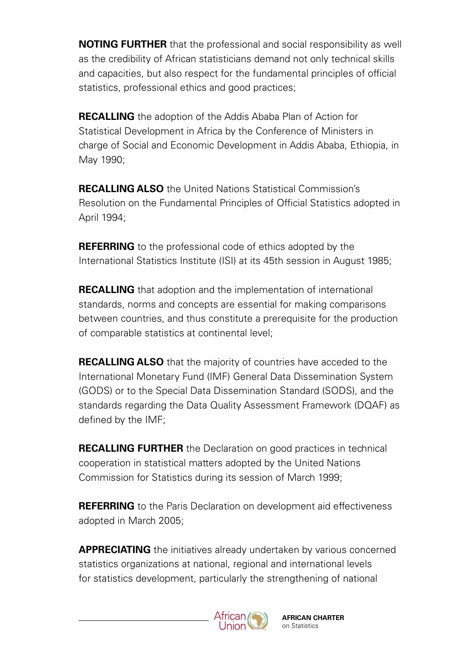**NOTING FURTHER** that the professional and social responsibility as well as the credibility of African statisticians demand not only technical skills and capacities, but also respect for the fundamental principles of official statistics, professional ethics and good practices;

**RECALLING** the adoption of the Addis Ababa Plan of Action for Statistical Development in Africa by the Conference of Ministers in charge of Social and Economic Development in Addis Ababa, Ethiopia, in May 1990;

**RECALLING ALSO** the United Nations Statistical Commission's Resolution on the Fundamental Principles of Official Statistics adopted in April 1994;

**REFERRING** to the professional code of ethics adopted by the International Statistics Institute (ISI) at its 45th session in August 1985;

**RECALLING** that adoption and the implementation of international standards, norms and concepts are essential for making comparisons between countries, and thus constitute a prerequisite for the production of comparable statistics at continental level;

**RECALLING ALSO** that the majority of countries have acceded to the International Monetary Fund (IMF) General Data Dissemination System (GODS) or to the Special Data Dissemination Standard (SODS), and the standards regarding the Data Quality Assessment Framework (DQAF) as defined by the IMF;

**RECALLING FURTHER** the Declaration on good practices in technical cooperation in statistical matters adopted by the United Nations Commission for Statistics during its session of March 1999;

**REFERRING** to the Paris Declaration on development aid effectiveness adopted in March 2005;

**APPRECIATING** the initiatives already undertaken by various concerned statistics organizations at national, regional and international levels for statistics development, particularly the strengthening of national



**AFRICAN CHARTER** on Statistics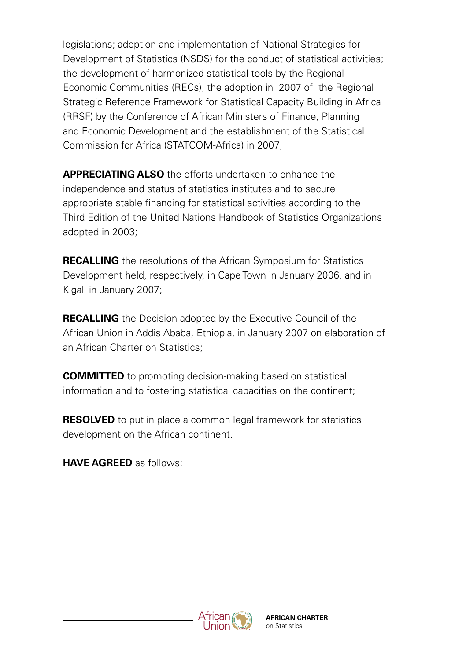legislations; adoption and implementation of National Strategies for Development of Statistics (NSDS) for the conduct of statistical activities; the development of harmonized statistical tools by the Regional Economic Communities (RECs); the adoption in 2007 of the Regional Strategic Reference Framework for Statistical Capacity Building in Africa (RRSF) by the Conference of African Ministers of Finance, Planning and Economic Development and the establishment of the Statistical Commission for Africa (STATCOM-Africa) in 2007;

**APPRECIATING ALSO** the efforts undertaken to enhance the independence and status of statistics institutes and to secure appropriate stable financing for statistical activities according to the Third Edition of the United Nations Handbook of Statistics Organizations adopted in 2003;

**RECALLING** the resolutions of the African Symposium for Statistics Development held, respectively, in Cape Town in January 2006, and in Kigali in January 2007;

**RECALLING** the Decision adopted by the Executive Council of the African Union in Addis Ababa, Ethiopia, in January 2007 on elaboration of an African Charter on Statistics;

**COMMITTED** to promoting decision-making based on statistical information and to fostering statistical capacities on the continent;

**RESOLVED** to put in place a common legal framework for statistics development on the African continent.

**HAVE AGREED** as follows:

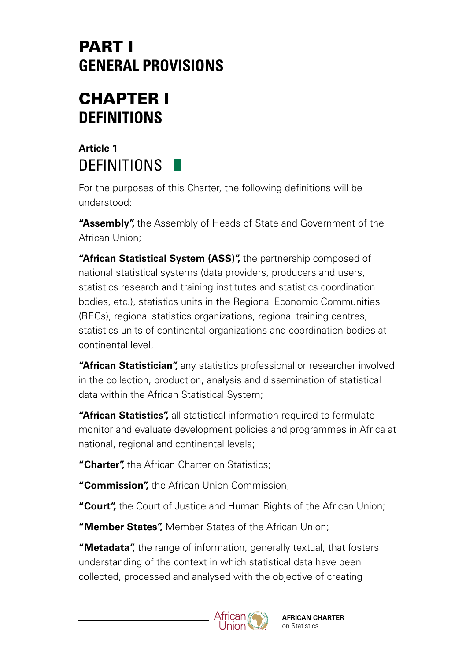# PART I **GENERAL PROVISIONS**

# CHAPTER I **DEFINITIONS**

### **Article 1 DEFINITIONS**

For the purposes of this Charter, the following definitions will be understood:

**"Assembly",** the Assembly of Heads of State and Government of the African Union;

**"African Statistical System (ASS)",** the partnership composed of national statistical systems (data providers, producers and users, statistics research and training institutes and statistics coordination bodies, etc.), statistics units in the Regional Economic Communities (RECs), regional statistics organizations, regional training centres, statistics units of continental organizations and coordination bodies at continental level;

**"African Statistician",** any statistics professional or researcher involved in the collection, production, analysis and dissemination of statistical data within the African Statistical System;

**"African Statistics",** all statistical information required to formulate monitor and evaluate development policies and programmes in Africa at national, regional and continental levels;

**"Charter",** the African Charter on Statistics;

**"Commission",** the African Union Commission;

**"Court",** the Court of Justice and Human Rights of the African Union;

**"Member States",** Member States of the African Union;

**"Metadata",** the range of information, generally textual, that fosters understanding of the context in which statistical data have been collected, processed and analysed with the objective of creating



**AFRICAN CHARTER** on Statistics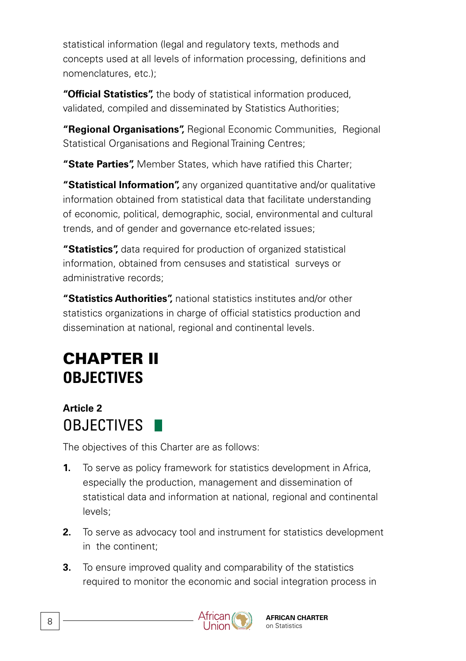statistical information (legal and regulatory texts, methods and concepts used at all levels of information processing, definitions and nomenclatures, etc.);

**"Official Statistics",** the body of statistical information produced, validated, compiled and disseminated by Statistics Authorities;

**"Regional Organisations",** Regional Economic Communities, Regional Statistical Organisations and Regional Training Centres;

**"State Parties",** Member States, which have ratified this Charter;

**"Statistical Information",** any organized quantitative and/or qualitative information obtained from statistical data that facilitate understanding of economic, political, demographic, social, environmental and cultural trends, and of gender and governance etc-related issues;

**"Statistics",** data required for production of organized statistical information, obtained from censuses and statistical surveys or administrative records;

**"Statistics Authorities",** national statistics institutes and/or other statistics organizations in charge of official statistics production and dissemination at national, regional and continental levels.

# CHAPTER II **OBJECTIVES**

### **Article 2** OBJECTIVES **N**

The objectives of this Charter are as follows:

- **1.** To serve as policy framework for statistics development in Africa, especially the production, management and dissemination of statistical data and information at national, regional and continental levels;
- **2.** To serve as advocacy tool and instrument for statistics development in the continent;
- **3.** To ensure improved quality and comparability of the statistics required to monitor the economic and social integration process in

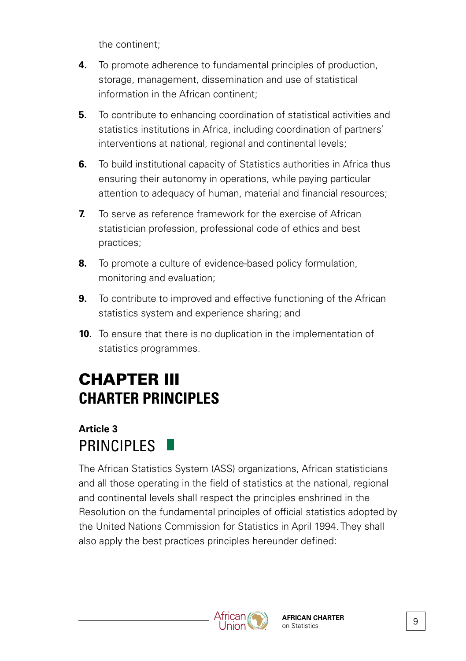the continent;

- **4.** To promote adherence to fundamental principles of production, storage, management, dissemination and use of statistical information in the African continent;
- **5.** To contribute to enhancing coordination of statistical activities and statistics institutions in Africa, including coordination of partners' interventions at national, regional and continental levels;
- **6.** To build institutional capacity of Statistics authorities in Africa thus ensuring their autonomy in operations, while paying particular attention to adequacy of human, material and financial resources;
- **7.** To serve as reference framework for the exercise of African statistician profession, professional code of ethics and best practices;
- **8.** To promote a culture of evidence-based policy formulation, monitoring and evaluation;
- **9.** To contribute to improved and effective functioning of the African statistics system and experience sharing; and
- **10.** To ensure that there is no duplication in the implementation of statistics programmes.

# CHAPTER III **CHARTER PRINCIPLES**

#### **Article 3** PRINCIPLES

The African Statistics System (ASS) organizations, African statisticians and all those operating in the field of statistics at the national, regional and continental levels shall respect the principles enshrined in the Resolution on the fundamental principles of official statistics adopted by the United Nations Commission for Statistics in April 1994. They shall also apply the best practices principles hereunder defined:

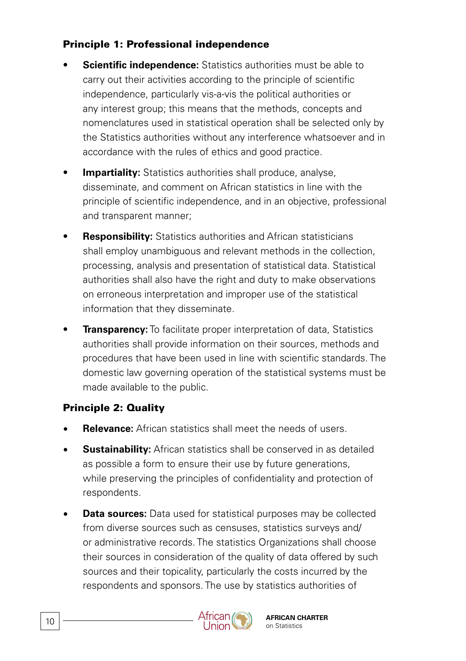#### Principle 1: Professional independence

- **Scientific independence:** Statistics authorities must be able to carry out their activities according to the principle of scientific independence, particularly vis-a-vis the political authorities or any interest group; this means that the methods, concepts and nomenclatures used in statistical operation shall be selected only by the Statistics authorities without any interference whatsoever and in accordance with the rules of ethics and good practice.
- **Impartiality:** Statistics authorities shall produce, analyse, disseminate, and comment on African statistics in line with the principle of scientific independence, and in an objective, professional and transparent manner;
- **Responsibility:** Statistics authorities and African statisticians shall employ unambiguous and relevant methods in the collection, processing, analysis and presentation of statistical data. Statistical authorities shall also have the right and duty to make observations on erroneous interpretation and improper use of the statistical information that they disseminate.
- **Transparency:** To facilitate proper interpretation of data, Statistics authorities shall provide information on their sources, methods and procedures that have been used in line with scientific standards. The domestic law governing operation of the statistical systems must be made available to the public.

#### Principle 2: Quality

- **Relevance:** African statistics shall meet the needs of users.
- **Sustainability:** African statistics shall be conserved in as detailed as possible a form to ensure their use by future generations, while preserving the principles of confidentiality and protection of respondents.
- **Data sources:** Data used for statistical purposes may be collected from diverse sources such as censuses, statistics surveys and/ or administrative records. The statistics Organizations shall choose their sources in consideration of the quality of data offered by such sources and their topicality, particularly the costs incurred by the respondents and sponsors. The use by statistics authorities of

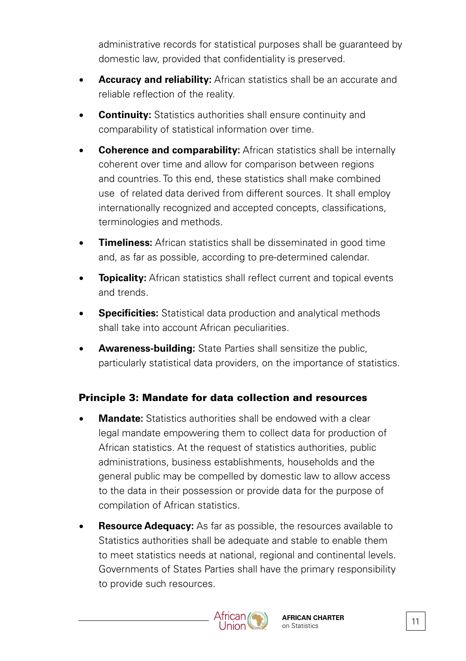administrative records for statistical purposes shall be guaranteed by domestic law, provided that confidentiality is preserved.

- **Accuracy and reliability:** African statistics shall be an accurate and reliable reflection of the reality.
- **Continuity:** Statistics authorities shall ensure continuity and comparability of statistical information over time.
- **Coherence and comparability:** African statistics shall be internally coherent over time and allow for comparison between regions and countries. To this end, these statistics shall make combined use of related data derived from different sources. It shall employ internationally recognized and accepted concepts, classifications, terminologies and methods.
- **Timeliness:** African statistics shall be disseminated in good time and, as far as possible, according to pre-determined calendar.
- **Topicality:** African statistics shall reflect current and topical events and trends.
- **Specificities:** Statistical data production and analytical methods shall take into account African peculiarities.
- **Awareness-building:** State Parties shall sensitize the public, particularly statistical data providers, on the importance of statistics.

#### Principle 3: Mandate for data collection and resources

- **Mandate:** Statistics authorities shall be endowed with a clear legal mandate empowering them to collect data for production of African statistics. At the request of statistics authorities, public administrations, business establishments, households and the general public may be compelled by domestic law to allow access to the data in their possession or provide data for the purpose of compilation of African statistics.
- **Resource Adequacy:** As far as possible, the resources available to Statistics authorities shall be adequate and stable to enable them to meet statistics needs at national, regional and continental levels. Governments of States Parties shall have the primary responsibility to provide such resources.

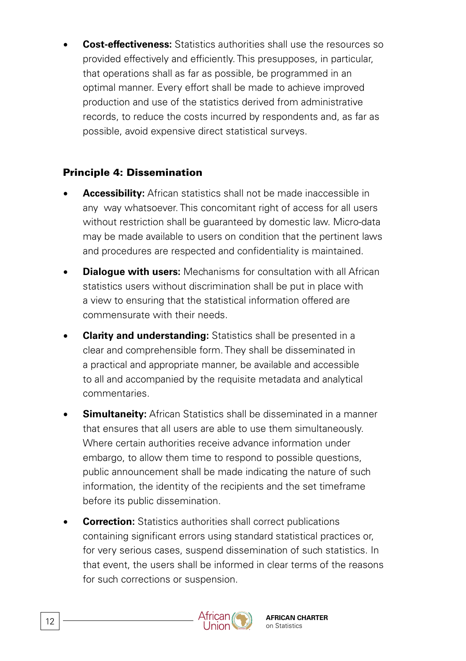**Cost-effectiveness:** Statistics authorities shall use the resources so provided effectively and efficiently. This presupposes, in particular, that operations shall as far as possible, be programmed in an optimal manner. Every effort shall be made to achieve improved production and use of the statistics derived from administrative records, to reduce the costs incurred by respondents and, as far as possible, avoid expensive direct statistical surveys.

#### Principle 4: Dissemination

- **Accessibility:** African statistics shall not be made inaccessible in any way whatsoever. This concomitant right of access for all users without restriction shall be guaranteed by domestic law. Micro-data may be made available to users on condition that the pertinent laws and procedures are respected and confidentiality is maintained.
- **Dialogue with users:** Mechanisms for consultation with all African statistics users without discrimination shall be put in place with a view to ensuring that the statistical information offered are commensurate with their needs.
- **Clarity and understanding:** Statistics shall be presented in a clear and comprehensible form. They shall be disseminated in a practical and appropriate manner, be available and accessible to all and accompanied by the requisite metadata and analytical commentaries.
- **Simultaneity:** African Statistics shall be disseminated in a manner that ensures that all users are able to use them simultaneously. Where certain authorities receive advance information under embargo, to allow them time to respond to possible questions, public announcement shall be made indicating the nature of such information, the identity of the recipients and the set timeframe before its public dissemination.
- **Correction:** Statistics authorities shall correct publications containing significant errors using standard statistical practices or, for very serious cases, suspend dissemination of such statistics. In that event, the users shall be informed in clear terms of the reasons for such corrections or suspension.

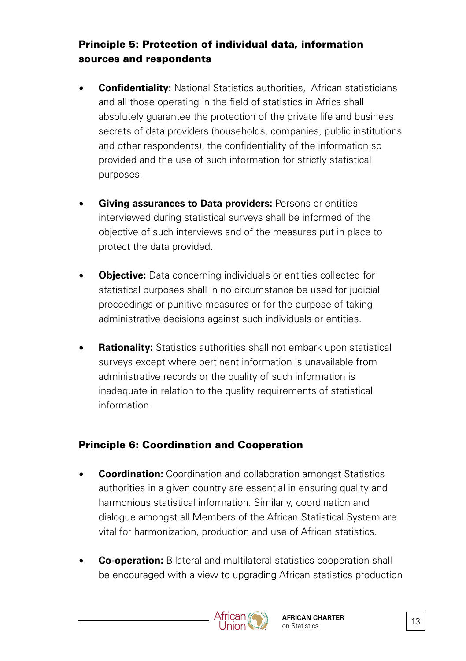#### Principle 5: Protection of individual data, information sources and respondents

- **Confidentiality:** National Statistics authorities, African statisticians and all those operating in the field of statistics in Africa shall absolutely guarantee the protection of the private life and business secrets of data providers (households, companies, public institutions and other respondents), the confidentiality of the information so provided and the use of such information for strictly statistical purposes.
- **Giving assurances to Data providers:** Persons or entities interviewed during statistical surveys shall be informed of the objective of such interviews and of the measures put in place to protect the data provided.
- **Objective:** Data concerning individuals or entities collected for statistical purposes shall in no circumstance be used for judicial proceedings or punitive measures or for the purpose of taking administrative decisions against such individuals or entities.
- **Rationality:** Statistics authorities shall not embark upon statistical surveys except where pertinent information is unavailable from administrative records or the quality of such information is inadequate in relation to the quality requirements of statistical information.

#### Principle 6: Coordination and Cooperation

- **Coordination:** Coordination and collaboration amongst Statistics authorities in a given country are essential in ensuring quality and harmonious statistical information. Similarly, coordination and dialogue amongst all Members of the African Statistical System are vital for harmonization, production and use of African statistics.
- **Co-operation:** Bilateral and multilateral statistics cooperation shall be encouraged with a view to upgrading African statistics production

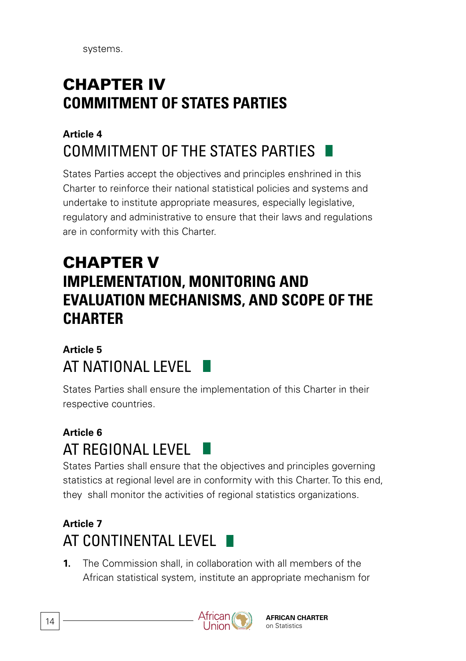systems.

# CHAPTER IV **COMMITMENT OF STATES PARTIES**

# **Article 4** COMMITMENT OF THE STATES PARTIES

States Parties accept the objectives and principles enshrined in this Charter to reinforce their national statistical policies and systems and undertake to institute appropriate measures, especially legislative, regulatory and administrative to ensure that their laws and regulations are in conformity with this Charter.

# CHAPTER V **IMPLEMENTATION, MONITORING AND EVALUATION MECHANISMS, AND SCOPE OF THE CHARTER**

### **Article 5** AT NATIONAL LEVEL

States Parties shall ensure the implementation of this Charter in their respective countries.

# **Article 6** AT REGIONAL LEVEL

States Parties shall ensure that the objectives and principles governing statistics at regional level are in conformity with this Charter. To this end, they shall monitor the activities of regional statistics organizations.

# **Article 7** AT CONTINENTAL LEVEL F

**1.** The Commission shall, in collaboration with all members of the African statistical system, institute an appropriate mechanism for

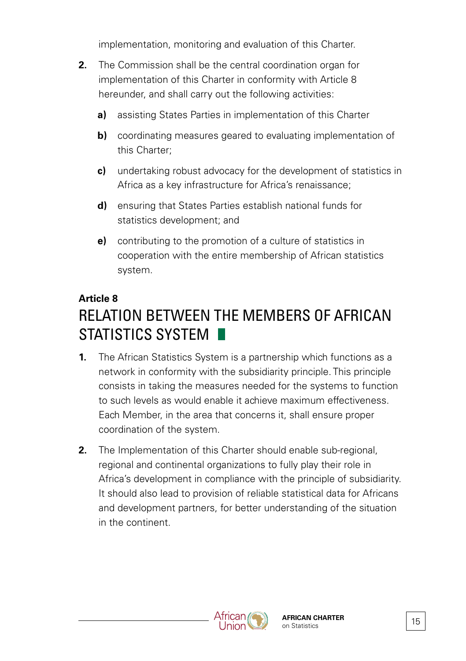implementation, monitoring and evaluation of this Charter.

- **2.** The Commission shall be the central coordination organ for implementation of this Charter in conformity with Article 8 hereunder, and shall carry out the following activities:
	- **a)** assisting States Parties in implementation of this Charter
	- **b)** coordinating measures geared to evaluating implementation of this Charter;
	- **c)** undertaking robust advocacy for the development of statistics in Africa as a key infrastructure for Africa's renaissance;
	- **d)** ensuring that States Parties establish national funds for statistics development; and
	- **e)** contributing to the promotion of a culture of statistics in cooperation with the entire membership of African statistics system.

#### **Article 8**

# RELATION BETWEEN THE MEMBERS OF AFRICAN STATISTICS SYSTEM **N**

- **1.** The African Statistics System is a partnership which functions as a network in conformity with the subsidiarity principle. This principle consists in taking the measures needed for the systems to function to such levels as would enable it achieve maximum effectiveness. Each Member, in the area that concerns it, shall ensure proper coordination of the system.
- **2.** The Implementation of this Charter should enable sub-regional, regional and continental organizations to fully play their role in Africa's development in compliance with the principle of subsidiarity. It should also lead to provision of reliable statistical data for Africans and development partners, for better understanding of the situation in the continent.

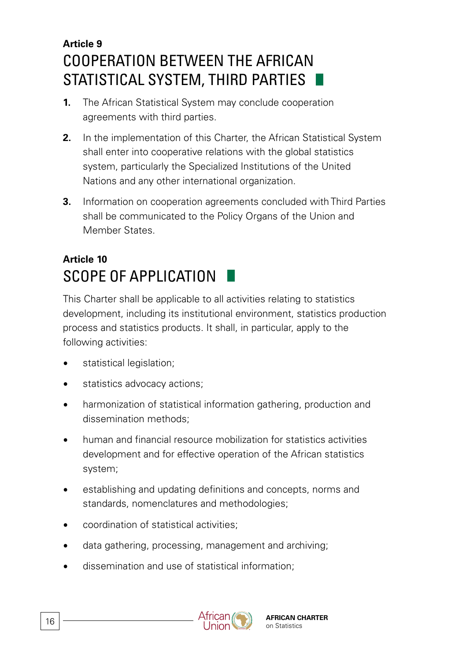# **Article 9** COOPERATION BETWEEN THE AFRICAN STATISTICAL SYSTEM, THIRD PARTIES

- **1.** The African Statistical System may conclude cooperation agreements with third parties.
- **2.** In the implementation of this Charter, the African Statistical System shall enter into cooperative relations with the global statistics system, particularly the Specialized Institutions of the United Nations and any other international organization.
- **3.** Information on cooperation agreements concluded with Third Parties shall be communicated to the Policy Organs of the Union and Member States.

# **Article 10** SCOPE OF APPLICATION

This Charter shall be applicable to all activities relating to statistics development, including its institutional environment, statistics production process and statistics products. It shall, in particular, apply to the following activities:

- statistical legislation:
- statistics advocacy actions;
- harmonization of statistical information gathering, production and dissemination methods;
- human and financial resource mobilization for statistics activities development and for effective operation of the African statistics system;
- establishing and updating definitions and concepts, norms and standards, nomenclatures and methodologies;
- coordination of statistical activities;
- data gathering, processing, management and archiving;
- dissemination and use of statistical information;

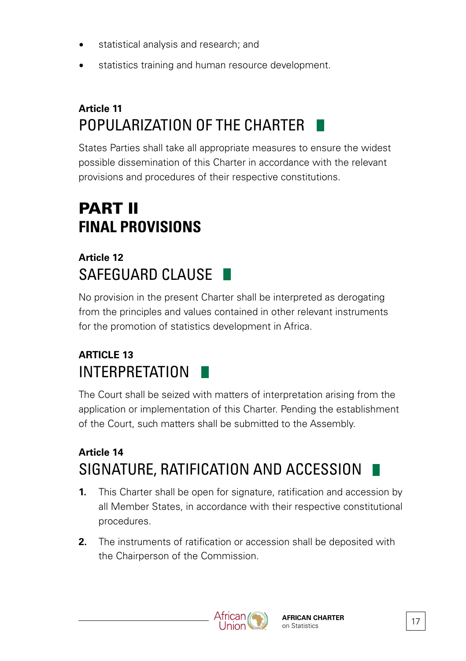- statistical analysis and research; and
- statistics training and human resource development.

# **Article 11** POPULARIZATION OF THE CHARTER

States Parties shall take all appropriate measures to ensure the widest possible dissemination of this Charter in accordance with the relevant provisions and procedures of their respective constitutions.

# PART II **FINAL PROVISIONS**

### **Article 12** SAFEGUARD CLAUSE

No provision in the present Charter shall be interpreted as derogating from the principles and values contained in other relevant instruments for the promotion of statistics development in Africa.

# **ARTICLE 13**  INTERPRETATION

The Court shall be seized with matters of interpretation arising from the application or implementation of this Charter. Pending the establishment of the Court, such matters shall be submitted to the Assembly.

# **Article 14** SIGNATURE, RATIFICATION AND ACCESSION

- **1.** This Charter shall be open for signature, ratification and accession by all Member States, in accordance with their respective constitutional procedures.
- **2.** The instruments of ratification or accession shall be deposited with the Chairperson of the Commission.



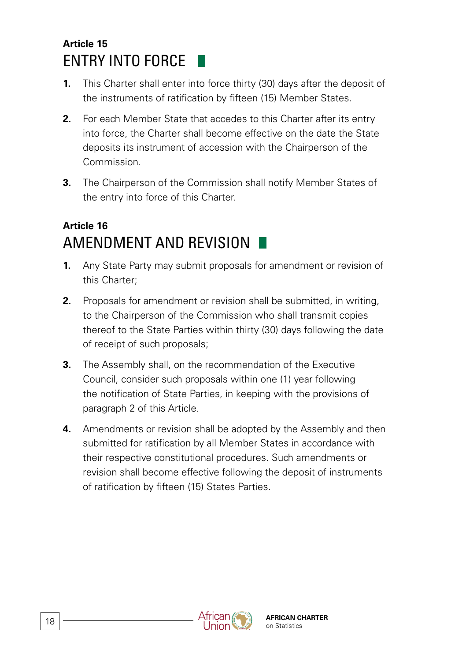### **Article 15** ENTRY INTO FORCE

- **1.** This Charter shall enter into force thirty (30) days after the deposit of the instruments of ratification by fifteen (15) Member States.
- **2.** For each Member State that accedes to this Charter after its entry into force, the Charter shall become effective on the date the State deposits its instrument of accession with the Chairperson of the Commission.
- **3.** The Chairperson of the Commission shall notify Member States of the entry into force of this Charter.

### **Article 16** AMENDMENT AND REVISION

- **1.** Any State Party may submit proposals for amendment or revision of this Charter;
- **2.** Proposals for amendment or revision shall be submitted, in writing, to the Chairperson of the Commission who shall transmit copies thereof to the State Parties within thirty (30) days following the date of receipt of such proposals;
- **3.** The Assembly shall, on the recommendation of the Executive Council, consider such proposals within one (1) year following the notification of State Parties, in keeping with the provisions of paragraph 2 of this Article.
- **4.** Amendments or revision shall be adopted by the Assembly and then submitted for ratification by all Member States in accordance with their respective constitutional procedures. Such amendments or revision shall become effective following the deposit of instruments of ratification by fifteen (15) States Parties.

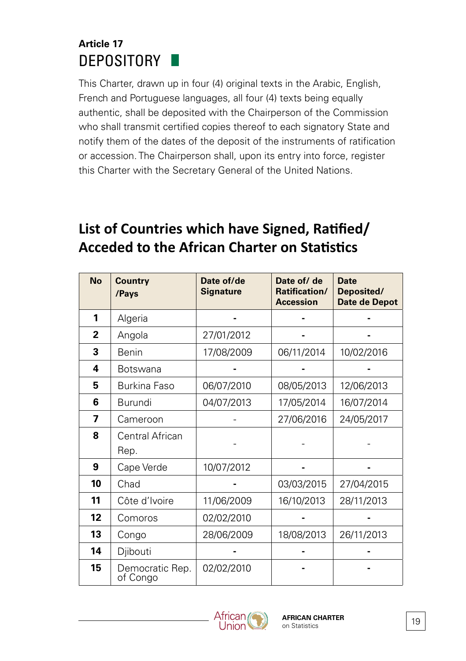### **Article 17** DEPOSITORY

This Charter, drawn up in four (4) original texts in the Arabic, English, French and Portuguese languages, all four (4) texts being equally authentic, shall be deposited with the Chairperson of the Commission who shall transmit certified copies thereof to each signatory State and notify them of the dates of the deposit of the instruments of ratification or accession. The Chairperson shall, upon its entry into force, register this Charter with the Secretary General of the United Nations.

# **List of Countries which have Signed, Ratified/ Acceded to the African Charter on Statistics**

| <b>No</b>    | <b>Country</b><br>/Pays     | Date of/de<br><b>Signature</b> | Date of/ de<br>Ratification/<br><b>Accession</b> | <b>Date</b><br>Deposited/<br>Date de Depot |
|--------------|-----------------------------|--------------------------------|--------------------------------------------------|--------------------------------------------|
| 1            | Algeria                     |                                |                                                  |                                            |
| $\mathbf{2}$ | Angola                      | 27/01/2012                     |                                                  |                                            |
| 3            | <b>Benin</b>                | 17/08/2009                     | 06/11/2014                                       | 10/02/2016                                 |
| 4            | <b>Botswana</b>             |                                |                                                  |                                            |
| 5            | Burkina Faso                | 06/07/2010                     | 08/05/2013                                       | 12/06/2013                                 |
| 6            | Burundi                     | 04/07/2013                     | 17/05/2014                                       | 16/07/2014                                 |
| 7            | Cameroon                    |                                | 27/06/2016                                       | 24/05/2017                                 |
| 8            | Central African<br>Rep.     |                                |                                                  |                                            |
| 9            | Cape Verde                  | 10/07/2012                     |                                                  |                                            |
| 10           | Chad                        |                                | 03/03/2015                                       | 27/04/2015                                 |
| 11           | Côte d'Ivoire               | 11/06/2009                     | 16/10/2013                                       | 28/11/2013                                 |
| $12 \,$      | Comoros                     | 02/02/2010                     |                                                  |                                            |
| 13           | Congo                       | 28/06/2009                     | 18/08/2013                                       | 26/11/2013                                 |
| 14           | Djibouti                    |                                |                                                  |                                            |
| 15           | Democratic Rep.<br>of Congo | 02/02/2010                     |                                                  |                                            |

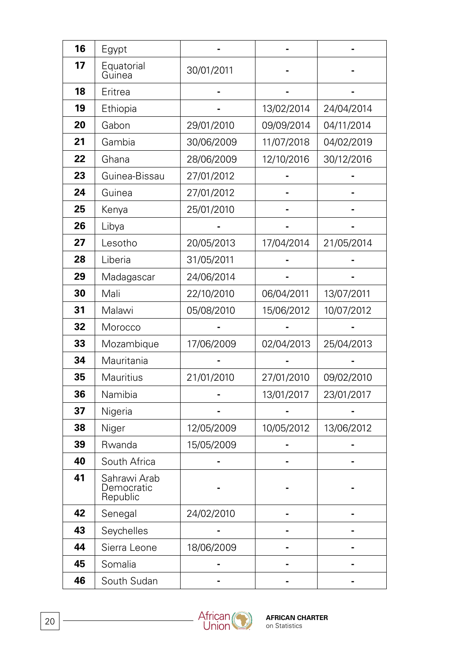| 16 | Egypt                                  |            |            |            |
|----|----------------------------------------|------------|------------|------------|
| 17 | Equatorial<br>Guinea                   | 30/01/2011 |            |            |
| 18 | Eritrea                                |            |            |            |
| 19 | Ethiopia                               |            | 13/02/2014 | 24/04/2014 |
| 20 | Gabon                                  | 29/01/2010 | 09/09/2014 | 04/11/2014 |
| 21 | Gambia                                 | 30/06/2009 | 11/07/2018 | 04/02/2019 |
| 22 | Ghana                                  | 28/06/2009 | 12/10/2016 | 30/12/2016 |
| 23 | Guinea-Bissau                          | 27/01/2012 |            |            |
| 24 | Guinea                                 | 27/01/2012 |            |            |
| 25 | Kenya                                  | 25/01/2010 |            |            |
| 26 | Libya                                  |            |            |            |
| 27 | Lesotho                                | 20/05/2013 | 17/04/2014 | 21/05/2014 |
| 28 | Liberia                                | 31/05/2011 |            |            |
| 29 | Madagascar                             | 24/06/2014 |            |            |
| 30 | Mali                                   | 22/10/2010 | 06/04/2011 | 13/07/2011 |
| 31 | Malawi                                 | 05/08/2010 | 15/06/2012 | 10/07/2012 |
| 32 | Morocco                                |            |            |            |
| 33 | Mozambique                             | 17/06/2009 | 02/04/2013 | 25/04/2013 |
| 34 | Mauritania                             |            |            |            |
| 35 | Mauritius                              | 21/01/2010 | 27/01/2010 | 09/02/2010 |
| 36 | Namibia                                |            | 13/01/2017 | 23/01/2017 |
| 37 | Nigeria                                |            |            |            |
| 38 | Niger                                  | 12/05/2009 | 10/05/2012 | 13/06/2012 |
| 39 | Rwanda                                 | 15/05/2009 |            |            |
| 40 | South Africa                           |            |            |            |
| 41 | Sahrawi Arab<br>Democratic<br>Republic |            |            |            |
| 42 | Senegal                                | 24/02/2010 |            |            |
| 43 | Seychelles                             |            |            |            |
| 44 | Sierra Leone                           | 18/06/2009 |            |            |
| 45 | Somalia                                |            |            |            |
| 46 | South Sudan                            |            |            |            |

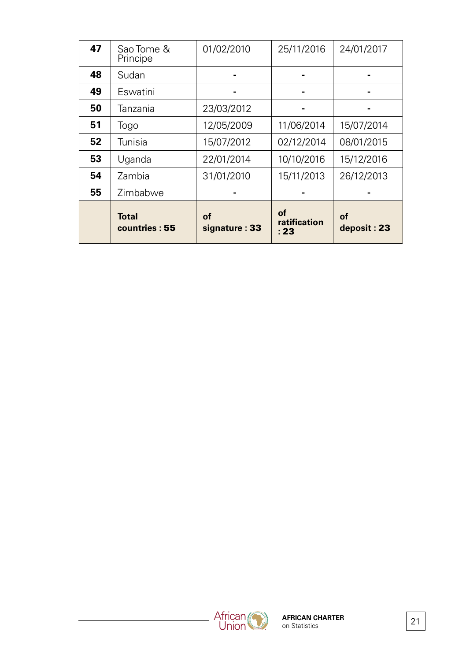|    | <b>Total</b><br>countries: 55 | of<br>signature: 33 | οf<br>ratification<br>: 23 | οf<br>deposit: 23 |
|----|-------------------------------|---------------------|----------------------------|-------------------|
| 55 | Zimbabwe                      |                     |                            |                   |
| 54 | Zambia                        | 31/01/2010          | 15/11/2013                 | 26/12/2013        |
| 53 | Uganda                        | 22/01/2014          | 10/10/2016                 | 15/12/2016        |
| 52 | Tunisia                       | 15/07/2012          | 02/12/2014                 | 08/01/2015        |
| 51 | Togo                          | 12/05/2009          | 11/06/2014                 | 15/07/2014        |
| 50 | Tanzania                      | 23/03/2012          |                            |                   |
| 49 | Eswatini                      |                     |                            |                   |
| 48 | Sudan                         |                     |                            |                   |
| 47 | Sao Tome &<br>Principe        | 01/02/2010          | 25/11/2016                 | 24/01/2017        |